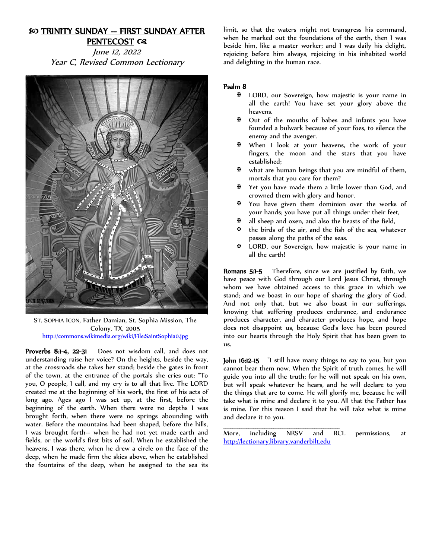## **EO TRINITY SUNDAY -- FIRST SUNDAY AFTER** PENTECOST Q3

June 12, 2022 Year C, Revised Common Lectionary



ST. SOPHIA ICON, Father Damian, St. Sophia Mission, The Colony, TX, 2005 <http://commons.wikimedia.org/wiki/File:SaintSophia0.jpg>

Proverbs 8:1-4, 22-31 Does not wisdom call, and does not understanding raise her voice? On the heights, beside the way, at the crossroads she takes her stand; beside the gates in front of the town, at the entrance of the portals she cries out: "To you, O people, I call, and my cry is to all that live. The LORD created me at the beginning of his work, the first of his acts of long ago. Ages ago I was set up, at the first, before the beginning of the earth. When there were no depths I was brought forth, when there were no springs abounding with water. Before the mountains had been shaped, before the hills, I was brought forth-- when he had not yet made earth and fields, or the world's first bits of soil. When he established the heavens, I was there, when he drew a circle on the face of the deep, when he made firm the skies above, when he established the fountains of the deep, when he assigned to the sea its

limit, so that the waters might not transgress his command, when he marked out the foundations of the earth, then I was beside him, like a master worker; and I was daily his delight, rejoicing before him always, rejoicing in his inhabited world and delighting in the human race.

## Psalm 8

- **E** LORD, our Sovereign, how majestic is your name in all the earth! You have set your glory above the heavens.
- ? Out of the mouths of babes and infants you have founded a bulwark because of your foes, to silence the enemy and the avenger.
- ? When I look at your heavens, the work of your fingers, the moon and the stars that you have established;
- ? what are human beings that you are mindful of them, mortals that you care for them?
- ? Yet you have made them a little lower than God, and crowned them with glory and honor.
- ? You have given them dominion over the works of your hands; you have put all things under their feet,
- ? all sheep and oxen, and also the beasts of the field,
- the birds of the air, and the fish of the sea, whatever passes along the paths of the seas.
- ? LORD, our Sovereign, how majestic is your name in all the earth!

Romans 5:1-5 Therefore, since we are justified by faith, we have peace with God through our Lord Jesus Christ, through whom we have obtained access to this grace in which we stand; and we boast in our hope of sharing the glory of God. And not only that, but we also boast in our sufferings, knowing that suffering produces endurance, and endurance produces character, and character produces hope, and hope does not disappoint us, because God's love has been poured into our hearts through the Holy Spirit that has been given to us.

John 16:12-15 "I still have many things to say to you, but you cannot bear them now. When the Spirit of truth comes, he will guide you into all the truth; for he will not speak on his own, but will speak whatever he hears, and he will declare to you the things that are to come. He will glorify me, because he will take what is mine and declare it to you. All that the Father has is mine. For this reason I said that he will take what is mine and declare it to you.

More, including NRSV and RCL permissions, at [http://lectionary.library.vanderbilt.edu](http://lectionary.library.vanderbilt.edu/)

\_\_\_\_\_\_\_\_\_\_\_\_\_\_\_\_\_\_\_\_\_\_\_\_\_\_\_\_\_\_\_\_\_\_\_\_\_\_\_\_\_\_\_\_\_\_\_\_\_\_\_